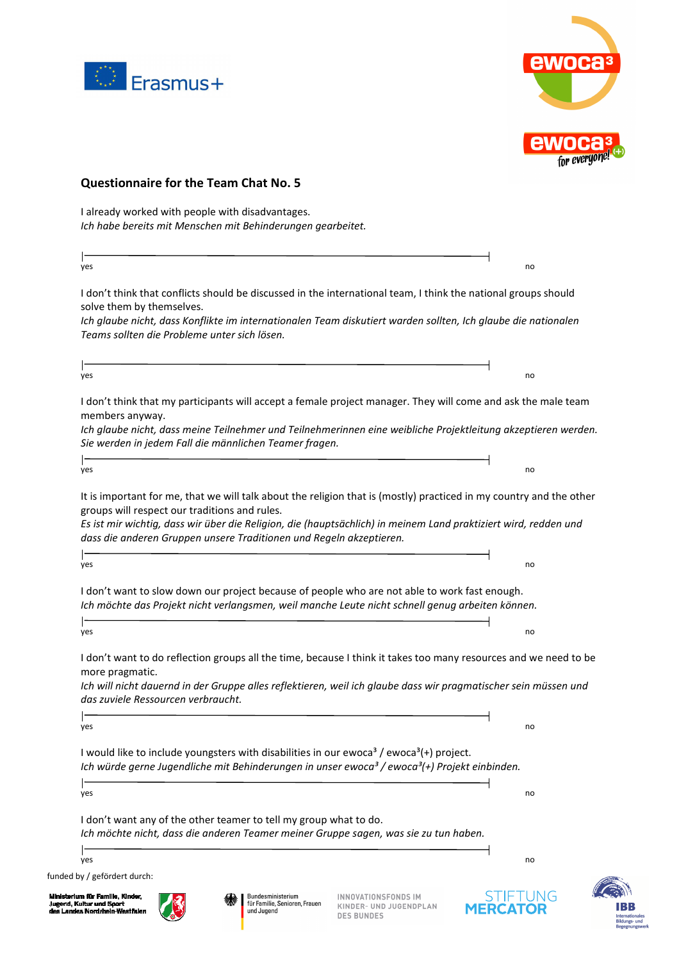



## **Questionnaire for the Team Chat No. 5**  I already worked with people with disadvantages. *Ich habe bereits mit Menschen mit Behinderungen gearbeitet.*  yes the contract of the contract of the contract of the contract of the contract of the contract of the contract of the contract of the contract of the contract of the contract of the contract of the contract of the contra I don't think that conflicts should be discussed in the international team, I think the national groups should solve them by themselves. *Ich glaube nicht, dass Konflikte im internationalen Team diskutiert warden sollten, Ich glaube die nationalen Teams sollten die Probleme unter sich lösen.*  yes and the control of the control of the control of the control of the control of the control of the control o I don't think that my participants will accept a female project manager. They will come and ask the male team members anyway. *Ich glaube nicht, dass meine Teilnehmer und Teilnehmerinnen eine weibliche Projektleitung akzeptieren werden. Sie werden in jedem Fall die männlichen Teamer fragen.*  ŀ yes and the control of the control of the control of the control of the control of the control of the control o It is important for me, that we will talk about the religion that is (mostly) practiced in my country and the other groups will respect our traditions and rules. *Es ist mir wichtig, dass wir über die Religion, die (hauptsächlich) in meinem Land praktiziert wird, redden und dass die anderen Gruppen unsere Traditionen und Regeln akzeptieren.*  ŀ yes and the control of the control of the control of the control of the control of the control of the control o I don't want to slow down our project because of people who are not able to work fast enough. *Ich möchte das Projekt nicht verlangsmen, weil manche Leute nicht schnell genug arbeiten können.*  yes the contract of the contract of the contract of the contract of the contract of the contract of the contract of the contract of the contract of the contract of the contract of the contract of the contract of the contra I don't want to do reflection groups all the time, because I think it takes too many resources and we need to be more pragmatic. *Ich will nicht dauernd in der Gruppe alles reflektieren, weil ich glaube dass wir pragmatischer sein müssen und das zuviele Ressourcen verbraucht.*  ŀ yes and the control of the control of the control of the control of the control of the control of the control o I would like to include youngsters with disabilities in our ewoca<sup>3</sup> / ewoca<sup>3</sup> (+) project. *Ich würde gerne Jugendliche mit Behinderungen in unser ewoca<sup>3</sup> / ewoca<sup>3</sup> (+) Projekt einbinden.* yes and the control of the control of the control of the control of the control of the control of the control o I don't want any of the other teamer to tell my group what to do. *Ich möchte nicht, dass die anderen Teamer meiner Gruppe sagen, was sie zu tun haben.*  yes the contract of the contract of the contract of the contract of the contract of the contract of the contract of the contract of the contract of the contract of the contract of the contract of the contract of the contra funded by / gefördert durch: m für Familie. Kil Rundoeministorium INNOVATIONSFONDS IM banacsministeriam<br>für Familie, Senioren, Frauen Jugend, Kultur und Sport<br>des Landes Nordrhein-We **KINDER- UND JUGENDPLAN MERCATOR** und Jugend **DES BUNDES**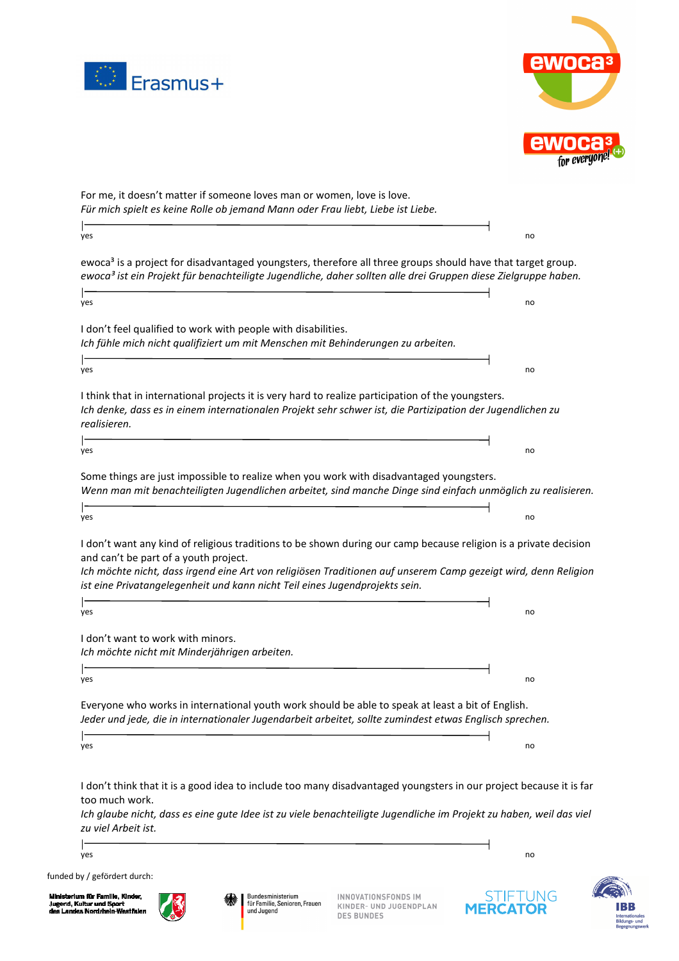



For me, it doesn't matter if someone loves man or women, love is love. *Für mich spielt es keine Rolle ob jemand Mann oder Frau liebt, Liebe ist Liebe.*  yes and the control of the control of the control of the control of the control of the control of the control o ewoca<sup>3</sup> is a project for disadvantaged youngsters, therefore all three groups should have that target group. *ewoca³ ist ein Projekt für benachteiligte Jugendliche, daher sollten alle drei Gruppen diese Zielgruppe haben.*  ŀ yes and the contract of the contract of the contract of the contract of the contract of the contract of the contract of the contract of the contract of the contract of the contract of the contract of the contract of the co I don't feel qualified to work with people with disabilities. *Ich fühle mich nicht qualifiziert um mit Menschen mit Behinderungen zu arbeiten.*  yes and the control of the control of the control of the control of the control of the control of the control o I think that in international projects it is very hard to realize participation of the youngsters. *Ich denke, dass es in einem internationalen Projekt sehr schwer ist, die Partizipation der Jugendlichen zu realisieren.*  yes and the control of the control of the control of the control of the control of the control of the control o Some things are just impossible to realize when you work with disadvantaged youngsters. *Wenn man mit benachteiligten Jugendlichen arbeitet, sind manche Dinge sind einfach unmöglich zu realisieren.*   $\mathsf{I}$ yes the contract of the contract of the contract of the contract of the contract of the contract of the contract of the contract of the contract of the contract of the contract of the contract of the contract of the contra I don't want any kind of religious traditions to be shown during our camp because religion is a private decision and can't be part of a youth project. *Ich möchte nicht, dass irgend eine Art von religiösen Traditionen auf unserem Camp gezeigt wird, denn Religion ist eine Privatangelegenheit und kann nicht Teil eines Jugendprojekts sein.*  yes and the contract of the contract of the contract of the contract of the contract of the contract of the contract of the contract of the contract of the contract of the contract of the contract of the contract of the co I don't want to work with minors. *Ich möchte nicht mit Minderjährigen arbeiten.*  yes and the control of the control of the control of the control of the control of the control of the control o Everyone who works in international youth work should be able to speak at least a bit of English. *Jeder und jede, die in internationaler Jugendarbeit arbeitet, sollte zumindest etwas Englisch sprechen.*  yes the contract of the contract of the contract of the contract of the contract of the contract of the contract of the contract of the contract of the contract of the contract of the contract of the contract of the contra I don't think that it is a good idea to include too many disadvantaged youngsters in our project because it is far too much work. *Ich glaube nicht, dass es eine qute Idee ist zu viele benachteiligte Jugendliche im Projekt zu haben, weil das viel zu viel Arbeit ist.*  yes and the control of the control of the control of the control of the control of the control of the control o

funded by / gefördert durch:

 $\mathsf{l}$ 

T

 $\mathsf{I}$ 

m für Familie. Kil nd, Kul tur und Sport<br>Nordrhein-Wi Jugend, Kultur und !<br>des Landes Nordrhe



INNOVATIONSFONDS IM **KINDER- UND JUGENDPLAN DES BUNDES**